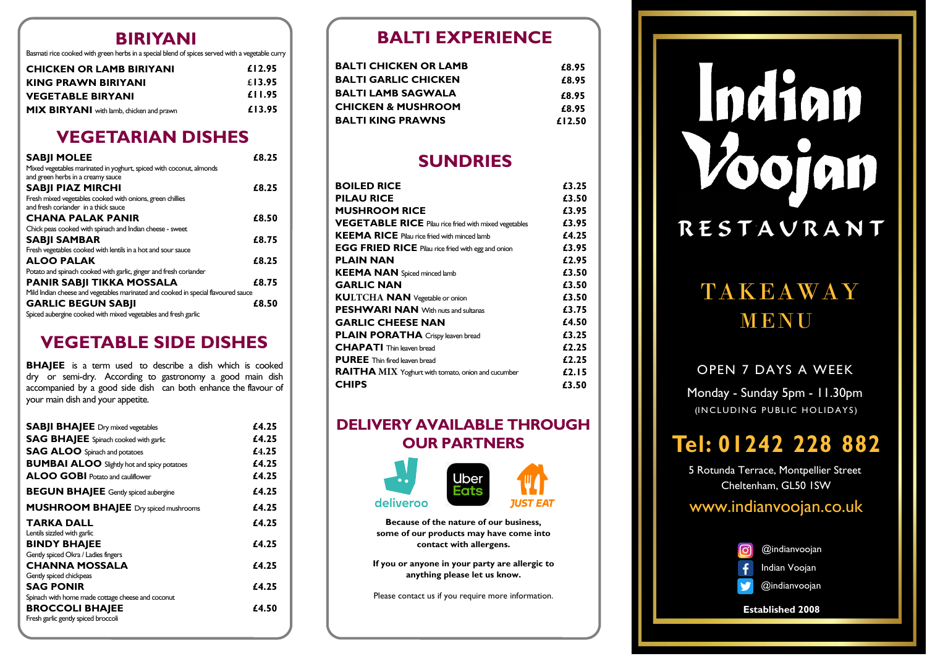## **BIRIYANI**

Basmati rice cooked with green herbs in a special blend of spices served with a vegetable curry

| <b>CHICKEN OR LAMB BIRIYANI</b>                 | £12.95 |
|-------------------------------------------------|--------|
| <b>KING PRAWN BIRIYANI</b>                      | £13.95 |
| <b>VEGETABLE BIRYANI</b>                        | £11.95 |
| <b>MIX BIRYANI</b> with lamb, chicken and prawn | £13.95 |

## **VEGETARIAN DISHES**

| <b>SABJI MOLEE</b>                                                                                       | £8.25 |
|----------------------------------------------------------------------------------------------------------|-------|
| Mixed vegetables marinated in yoghurt, spiced with coconut, almonds<br>and green herbs in a creamy sauce |       |
| <b>SABJI PIAZ MIRCHI</b>                                                                                 | £8.25 |
| Fresh mixed vegetables cooked with onions, green chillies                                                |       |
| and fresh coriander in a thick sauce                                                                     |       |
| <b>CHANA PALAK PANIR</b>                                                                                 | £8.50 |
| Chick peas cooked with spinach and Indian cheese - sweet                                                 |       |
| <b>SABJI SAMBAR</b>                                                                                      | £8.75 |
| Fresh vegetables cooked with lentils in a hot and sour sauce                                             |       |
| <b>ALOO PALAK</b>                                                                                        | £8.25 |
| Potato and spinach cooked with garlic, ginger and fresh coriander                                        |       |
| <b>PANIR SABJI TIKKA MOSSALA</b>                                                                         | £8.75 |
| Mild Indian cheese and vegetables marinated and cooked in special flavoured sauce                        |       |
| <b>GARLIC BEGUN SABJI</b>                                                                                | £8.50 |
| Spiced aubergine cooked with mixed vegetables and fresh garlic                                           |       |

# **VEGETABLE SIDE DISHES**

**BHAJEE** is <sup>a</sup> term used to describe <sup>a</sup> dish which is cooked dry or semi-dry. According to gastronomy a good main dish accompanied by a good side dish can both enhance the flavour of your main dish and your appetite.

| <b>SABJI BHAJEE</b> Dry mixed vegetables           | £4.25 |
|----------------------------------------------------|-------|
| <b>SAG BHAJEE</b> Spinach cooked with garlic       | £4.25 |
| <b>SAG ALOO</b> Spinach and potatoes               | £4.25 |
| <b>BUMBAI ALOO</b> Slightly hot and spicy potatoes | £4.25 |
| <b>ALOO GOBI</b> Potato and cauliflower            | £4.25 |
| <b>BEGUN BHAJEE</b> Gently spiced aubergine        | £4.25 |
| <b>MUSHROOM BHAJEE</b> Dry spiced mushrooms        | £4.25 |
| TARKA DALL                                         | £4.25 |
| Lentils sizzled with garlic                        |       |
| <b>BINDY BHAIEE</b>                                | £4.25 |
| Gently spiced Okra / Ladies fingers                |       |
| <b>CHANNA MOSSALA</b>                              | £4.25 |
| Gently spiced chickpeas                            |       |
| <b>SAG PONIR</b>                                   | £4.25 |
| Spinach with home made cottage cheese and coconut  |       |
| <b>BROCCOLI BHAJEE</b>                             | £4.50 |
| Fresh garlic gently spiced broccoli                |       |

## **BALTI EXPERIENCE**

| BALTI CHICKEN OR LAMB | £8.95  |
|-----------------------|--------|
| BALTI GARLIC CHICKEN  | £8.95  |
| BALTI LAMB SAGWALA    | £8.95  |
| CHICKEN & MUSHROOM    | £8.95  |
| BALTI KING PRAWNS     | £12.50 |
|                       |        |

## **SUNDRIES**

| <b>BOILED RICE</b>                                           | £3.25 |
|--------------------------------------------------------------|-------|
| <b>PILAU RICE</b>                                            | £3.50 |
| <b>MUSHROOM RICE</b>                                         | £3.95 |
| <b>VEGETABLE RICE</b> Pilau rice fried with mixed vegetables | £3.95 |
| <b>KEEMA RICE</b> Pilau rice fried with minced lamb          | £4.25 |
| <b>EGG FRIED RICE</b> Pilau rice fried with egg and onion    | £3.95 |
| <b>PLAIN NAN</b>                                             | £2.95 |
| <b>KEEMA NAN</b> Spiced minced lamb                          | £3.50 |
| <b>GARLIC NAN</b>                                            | £3.50 |
| <b>KULTCHA NAN</b> Vegetable or onion                        | £3.50 |
| <b>PESHWARI NAN</b> With nuts and sultanas                   | £3.75 |
| <b>GARLIC CHEESE NAN</b>                                     | £4.50 |
| <b>PLAIN PORATHA</b> Crispy leaven bread                     | £3.25 |
| <b>CHAPATI</b> Thin leaven bread                             | £2.25 |
| <b>PUREE</b> Thin fired leaven bread                         | £2.25 |
| <b>RAITHA</b> MIX Yoghurt with tomato, onion and cucumber    | £2.15 |
| <b>CHIPS</b>                                                 | £3.50 |

## **DELIVERY AVAILABLE THROUGH OUR PARTNERS**



**Because of the nature of our business, some of our products may have come into contact with allergens.**

**If you or anyone in your party are allergic to anything <sup>p</sup>lease let us know.**

Please contact us if you require more information.

# Indian RESTAURANT

# TAKEAWAYMENU

#### OPEN 7 DAYS A WEEK

Monday - Sunday 5pm - 11.30pm(INCLUDING PUBLIC HOLIDAYS )

# **Tel: 01242 <sup>228</sup> <sup>882</sup>**

5 Rotunda Terrace, Montpellier Street Cheltenham, GL50 1SW

## www.indianvoojan.co.uk



**Established 2008**